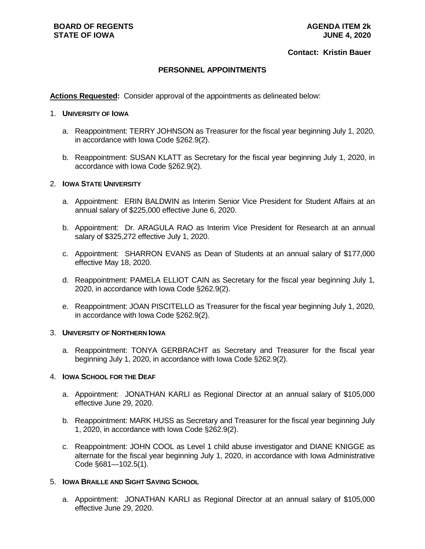## **Contact: Kristin Bauer**

# **PERSONNEL APPOINTMENTS**

**Actions Requested:** Consider approval of the appointments as delineated below:

## 1. **UNIVERSITY OF IOWA**

- a. Reappointment: TERRY JOHNSON as Treasurer for the fiscal year beginning July 1, 2020, in accordance with Iowa Code §262.9(2).
- b. Reappointment: SUSAN KLATT as Secretary for the fiscal year beginning July 1, 2020, in accordance with Iowa Code §262.9(2).

## 2. **IOWA STATE UNIVERSITY**

- a. Appointment: ERIN BALDWIN as Interim Senior Vice President for Student Affairs at an annual salary of \$225,000 effective June 6, 2020.
- b. Appointment: Dr. ARAGULA RAO as Interim Vice President for Research at an annual salary of \$325,272 effective July 1, 2020.
- c. Appointment: SHARRON EVANS as Dean of Students at an annual salary of \$177,000 effective May 18, 2020.
- d. Reappointment: PAMELA ELLIOT CAIN as Secretary for the fiscal year beginning July 1, 2020, in accordance with Iowa Code §262.9(2).
- e. Reappointment: JOAN PISCITELLO as Treasurer for the fiscal year beginning July 1, 2020, in accordance with Iowa Code §262.9(2).

#### 3. **UNIVERSITY OF NORTHERN IOWA**

a. Reappointment: TONYA GERBRACHT as Secretary and Treasurer for the fiscal year beginning July 1, 2020, in accordance with Iowa Code §262.9(2).

#### 4. **IOWA SCHOOL FOR THE DEAF**

- a. Appointment: JONATHAN KARLI as Regional Director at an annual salary of \$105,000 effective June 29, 2020.
- b. Reappointment: MARK HUSS as Secretary and Treasurer for the fiscal year beginning July 1, 2020, in accordance with Iowa Code §262.9(2).
- c. Reappointment: JOHN COOL as Level 1 child abuse investigator and DIANE KNIGGE as alternate for the fiscal year beginning July 1, 2020, in accordance with Iowa Administrative Code §681—102.5(1).

## 5. **IOWA BRAILLE AND SIGHT SAVING SCHOOL**

a. Appointment: JONATHAN KARLI as Regional Director at an annual salary of \$105,000 effective June 29, 2020.